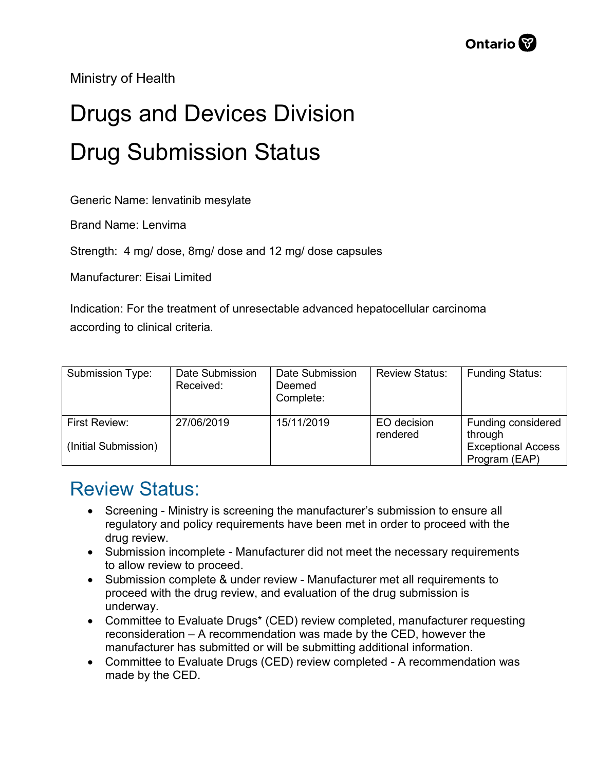Ministry of Health

## Drugs and Devices Division Drug Submission Status

Generic Name: lenvatinib mesylate

Brand Name: Lenvima

Strength: 4 mg/ dose, 8mg/ dose and 12 mg/ dose capsules

Manufacturer: Eisai Limited

Indication: For the treatment of unresectable advanced hepatocellular carcinoma according to clinical criteria.

| Submission Type:                      | Date Submission<br>Received: | Date Submission<br>Deemed<br>Complete: | <b>Review Status:</b>   | <b>Funding Status:</b>                                                      |
|---------------------------------------|------------------------------|----------------------------------------|-------------------------|-----------------------------------------------------------------------------|
| First Review:<br>(Initial Submission) | 27/06/2019                   | 15/11/2019                             | EO decision<br>rendered | Funding considered<br>through<br><b>Exceptional Access</b><br>Program (EAP) |

## Review Status:

- Screening Ministry is screening the manufacturer's submission to ensure all regulatory and policy requirements have been met in order to proceed with the drug review.
- Submission incomplete Manufacturer did not meet the necessary requirements to allow review to proceed.
- Submission complete & under review Manufacturer met all requirements to proceed with the drug review, and evaluation of the drug submission is underway.
- Committee to Evaluate Drugs\* (CED) review completed, manufacturer requesting reconsideration – A recommendation was made by the CED, however the manufacturer has submitted or will be submitting additional information.
- Committee to Evaluate Drugs (CED) review completed A recommendation was made by the CED.